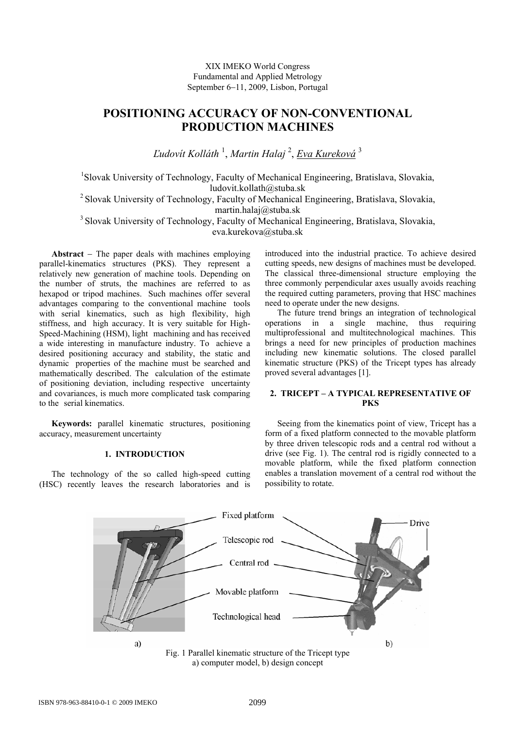XIX IMEKO World Congress Fundamental and Applied Metrology September 6−11, 2009, Lisbon, Portugal

# **POSITIONING ACCURACY OF NON-CONVENTIONAL PRODUCTION MACHINES**

*Ľudovít Kolláth* <sup>1</sup> , *Martin Halaj* <sup>2</sup> , *Eva Kureková* <sup>3</sup>

<sup>1</sup>Slovak University of Technology, Faculty of Mechanical Engineering, Bratislava, Slovakia, ludovit.kollath@stuba.sk

<sup>2</sup> Slovak University of Technology, Faculty of Mechanical Engineering, Bratislava, Slovakia, martin.halaj@stuba.sk

<sup>3</sup> Slovak University of Technology, Faculty of Mechanical Engineering, Bratislava, Slovakia, eva.kurekova@stuba.sk

**Abstract** − The paper deals with machines employing parallel-kinematics structures (PKS). They represent a relatively new generation of machine tools. Depending on the number of struts, the machines are referred to as hexapod or tripod machines. Such machines offer several advantages comparing to the conventional machine tools with serial kinematics, such as high flexibility, high stiffness, and high accuracy. It is very suitable for High-Speed-Machining (HSM), light machining and has received a wide interesting in manufacture industry. To achieve a desired positioning accuracy and stability, the static and dynamic properties of the machine must be searched and mathematically described. The calculation of the estimate of positioning deviation, including respective uncertainty and covariances, is much more complicated task comparing to the serial kinematics.

**Keywords:** parallel kinematic structures, positioning accuracy, measurement uncertainty

## **1. INTRODUCTION**

The technology of the so called high-speed cutting (HSC) recently leaves the research laboratories and is

introduced into the industrial practice. To achieve desired cutting speeds, new designs of machines must be developed. The classical three-dimensional structure employing the three commonly perpendicular axes usually avoids reaching the required cutting parameters, proving that HSC machines need to operate under the new designs.

The future trend brings an integration of technological operations in a single machine, thus requiring multiprofessional and multitechnological machines. This brings a need for new principles of production machines including new kinematic solutions. The closed parallel kinematic structure (PKS) of the Tricept types has already proved several advantages [1].

# **2. TRICEPT – A TYPICAL REPRESENTATIVE OF PKS**

Seeing from the kinematics point of view, Tricept has a form of a fixed platform connected to the movable platform by three driven telescopic rods and a central rod without a drive (see Fig. 1). The central rod is rigidly connected to a movable platform, while the fixed platform connection enables a translation movement of a central rod without the possibility to rotate.



a) computer model, b) design concept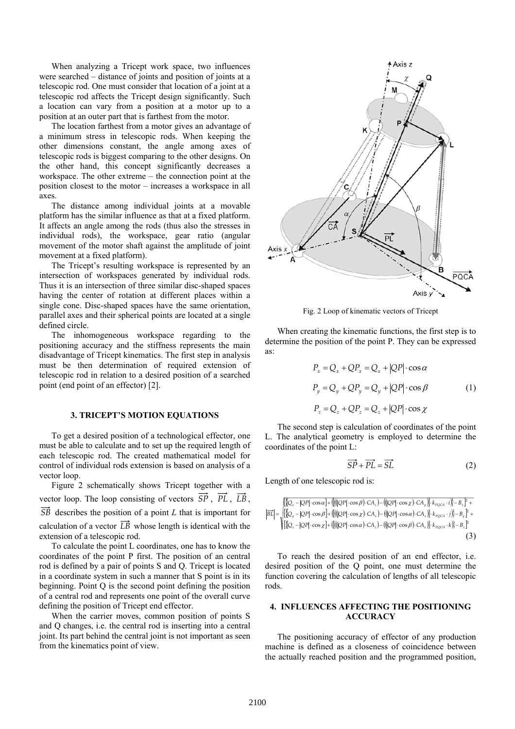When analyzing a Tricept work space, two influences were searched – distance of joints and position of joints at a telescopic rod. One must consider that location of a joint at a telescopic rod affects the Tricept design significantly. Such a location can vary from a position at a motor up to a position at an outer part that is farthest from the motor.

The location farthest from a motor gives an advantage of a minimum stress in telescopic rods. When keeping the other dimensions constant, the angle among axes of telescopic rods is biggest comparing to the other designs. On the other hand, this concept significantly decreases a workspace. The other extreme – the connection point at the position closest to the motor – increases a workspace in all axes.

The distance among individual joints at a movable platform has the similar influence as that at a fixed platform. It affects an angle among the rods (thus also the stresses in individual rods), the workspace, gear ratio (angular movement of the motor shaft against the amplitude of joint movement at a fixed platform).

The Tricept's resulting workspace is represented by an intersection of workspaces generated by individual rods. Thus it is an intersection of three similar disc-shaped spaces having the center of rotation at different places within a single cone. Disc-shaped spaces have the same orientation, parallel axes and their spherical points are located at a single defined circle.

The inhomogeneous workspace regarding to the positioning accuracy and the stiffness represents the main disadvantage of Tricept kinematics. The first step in analysis must be then determination of required extension of telescopic rod in relation to a desired position of a searched point (end point of an effector) [2].

#### **3. TRICEPT'S MOTION EQUATIONS**

To get a desired position of a technological effector, one must be able to calculate and to set up the required length of each telescopic rod. The created mathematical model for control of individual rods extension is based on analysis of a vector loop.

Figure 2 schematically shows Tricept together with a vector loop. The loop consisting of vectors  $\overrightarrow{SP}$ ,  $\overrightarrow{PL}$ ,  $\overrightarrow{LB}$ , *SB* describes the position of a point *L* that is important for calculation of a vector  $\overrightarrow{LB}$  whose length is identical with the extension of a telescopic rod.

To calculate the point L coordinates, one has to know the coordinates of the point P first. The position of an central rod is defined by a pair of points S and Q. Tricept is located in a coordinate system in such a manner that S point is in its beginning. Point Q is the second point defining the position of a central rod and represents one point of the overall curve defining the position of Tricept end effector.

When the carrier moves, common position of points S and Q changes, i.e. the central rod is inserting into a central joint. Its part behind the central joint is not important as seen from the kinematics point of view.



Fig. 2 Loop of kinematic vectors of Tricept

When creating the kinematic functions, the first step is to determine the position of the point P. They can be expressed as:

$$
P_x = Q_x + QP_x = Q_x + |QP| \cdot \cos \alpha
$$
  
\n
$$
P_y = Q_y + QP_y = Q_y + |QP| \cdot \cos \beta
$$
 (1)  
\n
$$
P_z = Q_z + QP_z = Q_z + |QP| \cdot \cos \chi
$$

The second step is calculation of coordinates of the point L. The analytical geometry is employed to determine the coordinates of the point L:

$$
\overrightarrow{SP} + \overrightarrow{PL} = \overrightarrow{SL} \tag{2}
$$

Length of one telescopic rod is:

$$
\left| \overline{\beta L} \right| = \sqrt{\left\{ \left[ Q_x - |QP| \cdot \cos A \right\} + \left( \left( \left( |QP| \cdot \cos A \right) \cdot CA_z \right) - \left( \left( |QP| \cdot \cos \chi \right) \cdot CA_z \right) \right] \cdot k_{\text{pQCA}} \cdot i \right) \right\} - B_x \overline{\right\}} + \sqrt{\left\{ \left[ Q_y - |QP| \cdot \cos \beta \right\} + \left( \left( \left( |QP| \cdot \cos \chi \right) \cdot CA_z \right) - \left( \left( |QP| \cdot \cos \alpha \right) \cdot CA_z \right) \right] \cdot k_{\text{pQCA}} \cdot i \right) \right\} - B_y \overline{\right\}} + \sqrt{\left\{ \left[ Q_z - |QP| \cdot \cos \chi \right\} + \left( \left( \left( |QP| \cdot \cos \alpha \right) \cdot CA_z \right) - \left( \left( |QP| \cdot \cos \beta \right) \cdot CA_z \right) \right] \cdot k_{\text{pQCA}} \cdot k \right\} - B_z \overline{\right\}} \tag{3}
$$

To reach the desired position of an end effector, i.e. desired position of the Q point, one must determine the function covering the calculation of lengths of all telescopic rods.

## **4. INFLUENCES AFFECTING THE POSITIONING ACCURACY**

The positioning accuracy of effector of any production machine is defined as a closeness of coincidence between the actually reached position and the programmed position,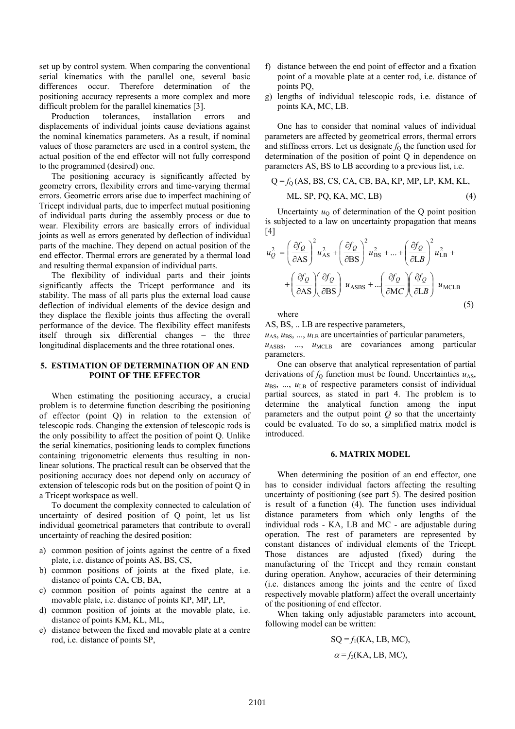set up by control system. When comparing the conventional serial kinematics with the parallel one, several basic differences occur. Therefore determination of the positioning accuracy represents a more complex and more difficult problem for the parallel kinematics [3].

Production tolerances, installation errors and displacements of individual joints cause deviations against the nominal kinematics parameters. As a result, if nominal values of those parameters are used in a control system, the actual position of the end effector will not fully correspond to the programmed (desired) one.

The positioning accuracy is significantly affected by geometry errors, flexibility errors and time-varying thermal errors. Geometric errors arise due to imperfect machining of Tricept individual parts, due to imperfect mutual positioning of individual parts during the assembly process or due to wear. Flexibility errors are basically errors of individual joints as well as errors generated by deflection of individual parts of the machine. They depend on actual position of the end effector. Thermal errors are generated by a thermal load and resulting thermal expansion of individual parts.

The flexibility of individual parts and their joints significantly affects the Tricept performance and its stability. The mass of all parts plus the external load cause deflection of individual elements of the device design and they displace the flexible joints thus affecting the overall performance of the device. The flexibility effect manifests itself through six differential changes – the three longitudinal displacements and the three rotational ones.

### **5. ESTIMATION OF DETERMINATION OF AN END POINT OF THE EFFECTOR**

When estimating the positioning accuracy, a crucial problem is to determine function describing the positioning of effector (point Q) in relation to the extension of telescopic rods. Changing the extension of telescopic rods is the only possibility to affect the position of point Q. Unlike the serial kinematics, positioning leads to complex functions containing trigonometric elements thus resulting in nonlinear solutions. The practical result can be observed that the positioning accuracy does not depend only on accuracy of extension of telescopic rods but on the position of point Q in a Tricept workspace as well.

To document the complexity connected to calculation of uncertainty of desired position of Q point, let us list individual geometrical parameters that contribute to overall uncertainty of reaching the desired position:

- a) common position of joints against the centre of a fixed plate, i.e. distance of points AS, BS, CS,
- b) common positions of joints at the fixed plate, i.e. distance of points CA, CB, BA,
- c) common position of points against the centre at a movable plate, i.e. distance of points KP, MP, LP,
- d) common position of joints at the movable plate, i.e. distance of points KM, KL, ML,
- e) distance between the fixed and movable plate at a centre rod, i.e. distance of points SP,
- f) distance between the end point of effector and a fixation point of a movable plate at a center rod, i.e. distance of points PQ,
- g) lengths of individual telescopic rods, i.e. distance of points KA, MC, LB.

One has to consider that nominal values of individual parameters are affected by geometrical errors, thermal errors and stiffness errors. Let us designate  $f<sub>Q</sub>$  the function used for determination of the position of point Q in dependence on parameters AS, BS to LB according to a previous list, i.e.

$$
Q = f_Q(AS, BS, CS, CA, CB, BA, KP, MP, LP, KM, KL, ML, SP, PQ, KA, MC, LB)
$$
 (4)

Uncertainty  $u_0$  of determination of the Q point position is subjected to a law on uncertainty propagation that means [4]

$$
u_Q^2 = \left(\frac{\partial f_Q}{\partial \Delta S}\right)^2 u_{AS}^2 + \left(\frac{\partial f_Q}{\partial \Delta S}\right)^2 u_{BS}^2 + ... + \left(\frac{\partial f_Q}{\partial \Delta S}\right)^2 u_{LB}^2 + \left(\frac{\partial f_Q}{\partial \Delta S}\right) \frac{\partial f_Q}{\partial \Delta S} + ... \left(\frac{\partial f_Q}{\partial \Delta S}\right) \frac{\partial f_Q}{\partial \Delta S} + ... \left(\frac{\partial f_Q}{\partial \Delta S}\right) \frac{\partial f_Q}{\partial \Delta S} + ... \tag{5}
$$

where

AS, BS, .. LB are respective parameters,

 $u<sub>AS</sub>, u<sub>BS</sub>, ..., u<sub>LB</sub>$  are uncertainties of particular parameters,  $u<sub>ASBS</sub>$ , ...,  $u<sub>MCLB</sub>$  are covariances among particular parameters.

One can observe that analytical representation of partial derivations of  $f<sub>Q</sub>$  function must be found. Uncertainties  $u<sub>AS</sub>$ ,  $u_{BS}$ , ...,  $u_{LB}$  of respective parameters consist of individual partial sources, as stated in part 4. The problem is to determine the analytical function among the input parameters and the output point  $Q$  so that the uncertainty could be evaluated. To do so, a simplified matrix model is introduced.

#### **6. MATRIX MODEL**

When determining the position of an end effector, one has to consider individual factors affecting the resulting uncertainty of positioning (see part 5). The desired position is result of a function (4). The function uses individual distance parameters from which only lengths of the individual rods - KA, LB and MC - are adjustable during operation. The rest of parameters are represented by constant distances of individual elements of the Tricept. Those distances are adjusted (fixed) during the manufacturing of the Tricept and they remain constant during operation. Anyhow, accuracies of their determining (i.e. distances among the joints and the centre of fixed respectively movable platform) affect the overall uncertainty of the positioning of end effector.

When taking only adjustable parameters into account, following model can be written:

$$
SQ = f_1(KA, LB, MC),
$$

$$
\alpha = f_2(KA, LB, MC),
$$